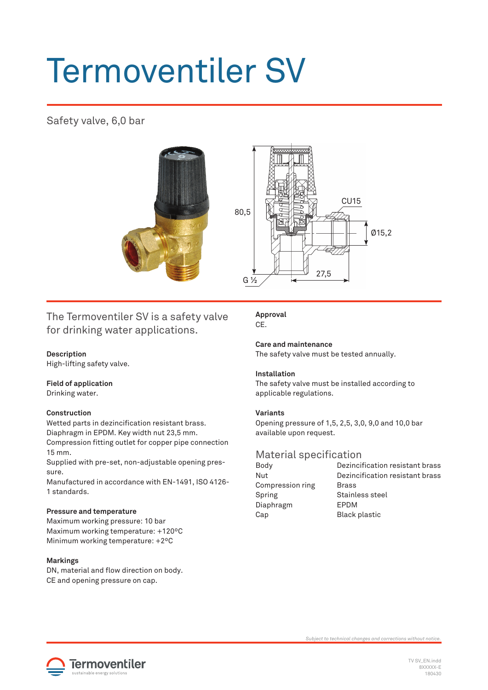# Termoventiler SV

## Safety valve, 6,0 bar





### The Termoventiler SV is a safety valve for drinking water applications.

#### **Description**

High-lifting safety valve.

#### **Field of application**

Drinking water.

#### **Construction**

Wetted parts in dezincification resistant brass.

Diaphragm in EPDM. Key width nut 23,5 mm.

Compression fitting outlet for copper pipe connection 15 mm.

Supplied with pre-set, non-adjustable opening pressure.

Manufactured in accordance with EN-1491, ISO 4126- 1 standards.

#### **Pressure and temperature**

Maximum working pressure: 10 bar Maximum working temperature: +120ºC Minimum working temperature: +2ºC

#### **Markings**

DN, material and flow direction on body. CE and opening pressure on cap.

**Approval** CE.

**Care and maintenance** The safety valve must be tested annually.

#### **Installation**

The safety valve must be installed according to applicable regulations.

#### **Variants**

Opening pressure of 1,5, 2,5, 3,0, 9,0 and 10,0 bar available upon request.

# Material specification<br>Body Dezinci

Nut Dezincification resistant brass Compression ring Brass Spring Stainless steel Diaphragm EPDM Cap Black plastic

Dezincification resistant brass



*Subject to technical changes and corrections without notice.*